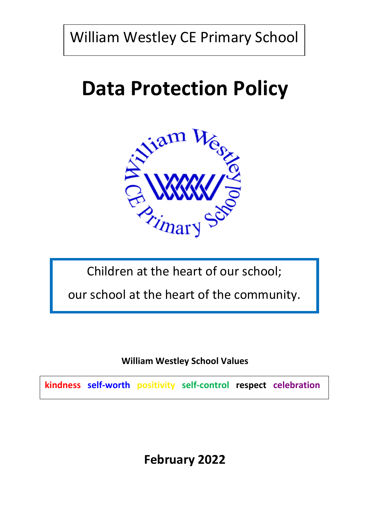William Westley CE Primary School

# **Data Protection Policy**



Children at the heart of our school;

our school at the heart of the community.

**William Westley School Values**

**kindness self-worth positivity self-control respect celebration**

**February 2022**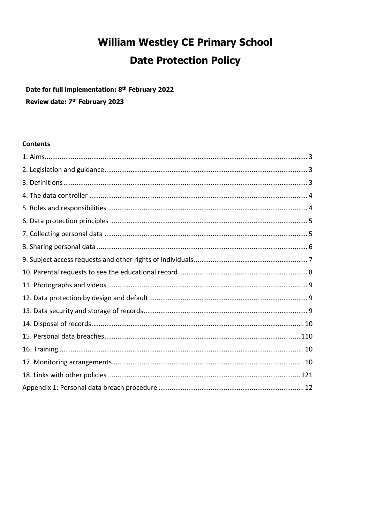# **William Westley CE Primary School Date Protection Policy**

Date for full implementation: 8<sup>th</sup> February 2022

Review date: 7<sup>th</sup> February 2023

#### **Contents**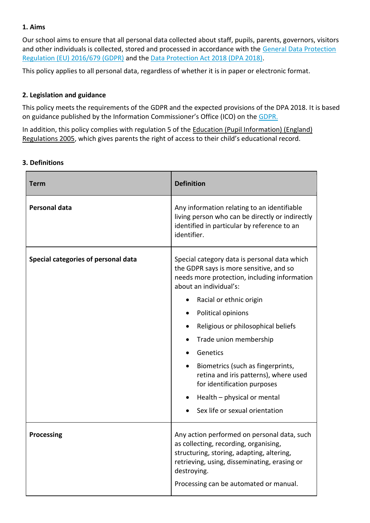# **1. Aims**

Our school aims to ensure that all personal data collected about staff, pupils, parents, governors, visitors and other individuals is collected, stored and processed in accordance with the General Data Protection [Regulation \(EU\) 2016/679 \(GDPR\)](https://eur-lex.europa.eu/legal-content/EN/TXT/?qid=1528874672298&uri=CELEX:02016R0679-20160504) and the [Data Protection Act 2018 \(DPA 2018\).](http://www.legislation.gov.uk/ukpga/2018/12/contents/enacted)

This policy applies to all personal data, regardless of whether it is in paper or electronic format.

## **2. Legislation and guidance**

This policy meets the requirements of the GDPR and the expected provisions of the DPA 2018. It is based on guidance published by the Information Commissioner's Office (ICO) on the [GDPR.](https://ico.org.uk/for-organisations/guide-to-the-general-data-protection-regulation-gdpr/)

In addition, this policy complies with regulation 5 of the Education (Pupil Information) (England) [Regulations 2005](http://www.legislation.gov.uk/uksi/2005/1437/regulation/5/made), which gives parents the right of access to their child's educational record.

## **3. Definitions**

| Term                                | <b>Definition</b>                                                                                                                                                                                                                          |
|-------------------------------------|--------------------------------------------------------------------------------------------------------------------------------------------------------------------------------------------------------------------------------------------|
| <b>Personal data</b>                | Any information relating to an identifiable<br>living person who can be directly or indirectly<br>identified in particular by reference to an<br>identifier.                                                                               |
| Special categories of personal data | Special category data is personal data which<br>the GDPR says is more sensitive, and so<br>needs more protection, including information<br>about an individual's:                                                                          |
|                                     | Racial or ethnic origin                                                                                                                                                                                                                    |
|                                     | Political opinions                                                                                                                                                                                                                         |
|                                     | Religious or philosophical beliefs                                                                                                                                                                                                         |
|                                     | Trade union membership                                                                                                                                                                                                                     |
|                                     | Genetics                                                                                                                                                                                                                                   |
|                                     | Biometrics (such as fingerprints,<br>retina and iris patterns), where used<br>for identification purposes                                                                                                                                  |
|                                     | Health - physical or mental                                                                                                                                                                                                                |
|                                     | Sex life or sexual orientation                                                                                                                                                                                                             |
| <b>Processing</b>                   | Any action performed on personal data, such<br>as collecting, recording, organising,<br>structuring, storing, adapting, altering,<br>retrieving, using, disseminating, erasing or<br>destroying.<br>Processing can be automated or manual. |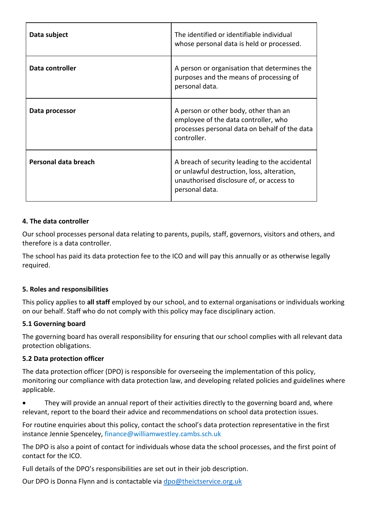| Data subject         | The identified or identifiable individual<br>whose personal data is held or processed.                                                                     |
|----------------------|------------------------------------------------------------------------------------------------------------------------------------------------------------|
| Data controller      | A person or organisation that determines the<br>purposes and the means of processing of<br>personal data.                                                  |
| Data processor       | A person or other body, other than an<br>employee of the data controller, who<br>processes personal data on behalf of the data<br>controller.              |
| Personal data breach | A breach of security leading to the accidental<br>or unlawful destruction, loss, alteration,<br>unauthorised disclosure of, or access to<br>personal data. |

# **4. The data controller**

Our school processes personal data relating to parents, pupils, staff, governors, visitors and others, and therefore is a data controller.

The school has paid its data protection fee to the ICO and will pay this annually or as otherwise legally required.

#### **5. Roles and responsibilities**

This policy applies to **all staff** employed by our school, and to external organisations or individuals working on our behalf. Staff who do not comply with this policy may face disciplinary action.

#### **5.1 Governing board**

The governing board has overall responsibility for ensuring that our school complies with all relevant data protection obligations.

#### **5.2 Data protection officer**

The data protection officer (DPO) is responsible for overseeing the implementation of this policy, monitoring our compliance with data protection law, and developing related policies and guidelines where applicable.

 They will provide an annual report of their activities directly to the governing board and, where relevant, report to the board their advice and recommendations on school data protection issues.

For routine enquiries about this policy, contact the school's data protection representative in the first instance Jennie Spenceley, finance@williamwestley.cambs.sch.uk

The DPO is also a point of contact for individuals whose data the school processes, and the first point of contact for the ICO.

Full details of the DPO's responsibilities are set out in their job description.

Our DPO is Donna Flynn and is contactable via [dpo@theictservice.org.uk](mailto:dpo@theictservice.org.uk)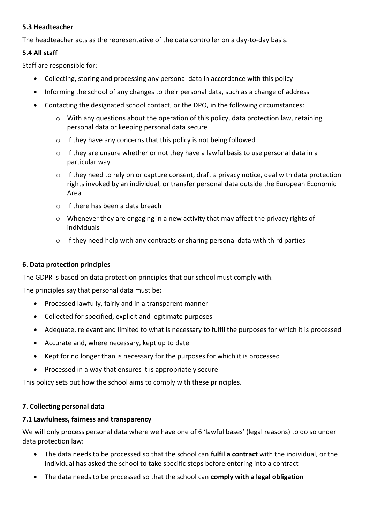# **5.3 Headteacher**

The headteacher acts as the representative of the data controller on a day-to-day basis.

# **5.4 All staff**

Staff are responsible for:

- Collecting, storing and processing any personal data in accordance with this policy
- Informing the school of any changes to their personal data, such as a change of address
- Contacting the designated school contact, or the DPO, in the following circumstances:
	- o With any questions about the operation of this policy, data protection law, retaining personal data or keeping personal data secure
	- o If they have any concerns that this policy is not being followed
	- o If they are unsure whether or not they have a lawful basis to use personal data in a particular way
	- $\circ$  If they need to rely on or capture consent, draft a privacy notice, deal with data protection rights invoked by an individual, or transfer personal data outside the European Economic Area
	- o If there has been a data breach
	- $\circ$  Whenever they are engaging in a new activity that may affect the privacy rights of individuals
	- o If they need help with any contracts or sharing personal data with third parties

# **6. Data protection principles**

The GDPR is based on data protection principles that our school must comply with.

The principles say that personal data must be:

- Processed lawfully, fairly and in a transparent manner
- Collected for specified, explicit and legitimate purposes
- Adequate, relevant and limited to what is necessary to fulfil the purposes for which it is processed
- Accurate and, where necessary, kept up to date
- Kept for no longer than is necessary for the purposes for which it is processed
- Processed in a way that ensures it is appropriately secure

This policy sets out how the school aims to comply with these principles.

#### **7. Collecting personal data**

#### **7.1 Lawfulness, fairness and transparency**

We will only process personal data where we have one of 6 'lawful bases' (legal reasons) to do so under data protection law:

- The data needs to be processed so that the school can **fulfil a contract** with the individual, or the individual has asked the school to take specific steps before entering into a contract
- The data needs to be processed so that the school can **comply with a legal obligation**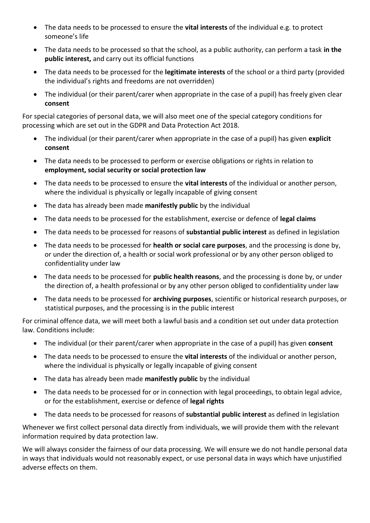- The data needs to be processed to ensure the **vital interests** of the individual e.g. to protect someone's life
- The data needs to be processed so that the school, as a public authority, can perform a task **in the public interest,** and carry out its official functions
- The data needs to be processed for the **legitimate interests** of the school or a third party (provided the individual's rights and freedoms are not overridden)
- The individual (or their parent/carer when appropriate in the case of a pupil) has freely given clear **consent**

For special categories of personal data, we will also meet one of the special category conditions for processing which are set out in the GDPR and Data Protection Act 2018.

- The individual (or their parent/carer when appropriate in the case of a pupil) has given **explicit consent**
- The data needs to be processed to perform or exercise obligations or rights in relation to **employment, social security or social protection law**
- The data needs to be processed to ensure the **vital interests** of the individual or another person, where the individual is physically or legally incapable of giving consent
- The data has already been made **manifestly public** by the individual
- The data needs to be processed for the establishment, exercise or defence of **legal claims**
- The data needs to be processed for reasons of **substantial public interest** as defined in legislation
- The data needs to be processed for **health or social care purposes**, and the processing is done by, or under the direction of, a health or social work professional or by any other person obliged to confidentiality under law
- The data needs to be processed for **public health reasons**, and the processing is done by, or under the direction of, a health professional or by any other person obliged to confidentiality under law
- The data needs to be processed for **archiving purposes**, scientific or historical research purposes, or statistical purposes, and the processing is in the public interest

For criminal offence data, we will meet both a lawful basis and a condition set out under data protection law. Conditions include:

- The individual (or their parent/carer when appropriate in the case of a pupil) has given **consent**
- The data needs to be processed to ensure the **vital interests** of the individual or another person, where the individual is physically or legally incapable of giving consent
- The data has already been made **manifestly public** by the individual
- The data needs to be processed for or in connection with legal proceedings, to obtain legal advice, or for the establishment, exercise or defence of **legal rights**
- The data needs to be processed for reasons of **substantial public interest** as defined in legislation

Whenever we first collect personal data directly from individuals, we will provide them with the relevant information required by data protection law.

We will always consider the fairness of our data processing. We will ensure we do not handle personal data in ways that individuals would not reasonably expect, or use personal data in ways which have unjustified adverse effects on them.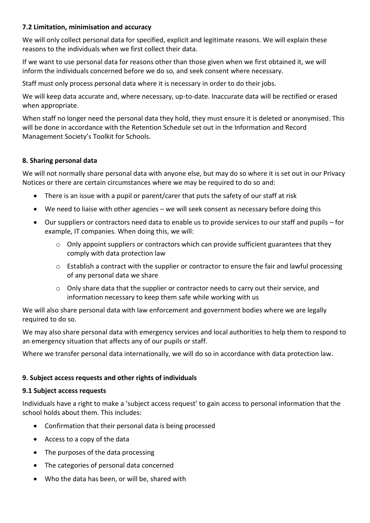# **7.2 Limitation, minimisation and accuracy**

We will only collect personal data for specified, explicit and legitimate reasons. We will explain these reasons to the individuals when we first collect their data.

If we want to use personal data for reasons other than those given when we first obtained it, we will inform the individuals concerned before we do so, and seek consent where necessary.

Staff must only process personal data where it is necessary in order to do their jobs.

We will keep data accurate and, where necessary, up-to-date. Inaccurate data will be rectified or erased when appropriate.

When staff no longer need the personal data they hold, they must ensure it is deleted or anonymised. This will be done in accordance with the Retention Schedule set out in the Information and Record Management Society's Toolkit for Schools.

## **8. Sharing personal data**

We will not normally share personal data with anyone else, but may do so where it is set out in our Privacy Notices or there are certain circumstances where we may be required to do so and:

- There is an issue with a pupil or parent/carer that puts the safety of our staff at risk
- We need to liaise with other agencies we will seek consent as necessary before doing this
- Our suppliers or contractors need data to enable us to provide services to our staff and pupils for example, IT companies. When doing this, we will:
	- o Only appoint suppliers or contractors which can provide sufficient guarantees that they comply with data protection law
	- $\circ$  Establish a contract with the supplier or contractor to ensure the fair and lawful processing of any personal data we share
	- o Only share data that the supplier or contractor needs to carry out their service, and information necessary to keep them safe while working with us

We will also share personal data with law enforcement and government bodies where we are legally required to do so.

We may also share personal data with emergency services and local authorities to help them to respond to an emergency situation that affects any of our pupils or staff.

Where we transfer personal data internationally, we will do so in accordance with data protection law.

# **9. Subject access requests and other rights of individuals**

#### **9.1 Subject access requests**

Individuals have a right to make a 'subject access request' to gain access to personal information that the school holds about them. This includes:

- Confirmation that their personal data is being processed
- Access to a copy of the data
- The purposes of the data processing
- The categories of personal data concerned
- Who the data has been, or will be, shared with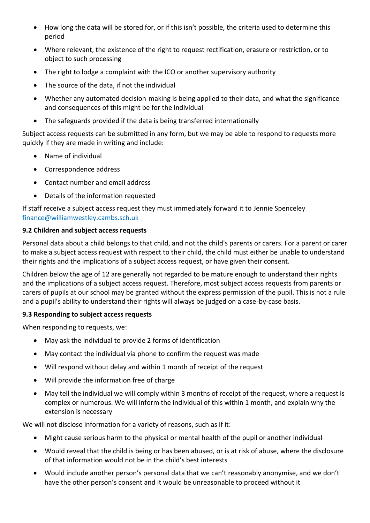- How long the data will be stored for, or if this isn't possible, the criteria used to determine this period
- Where relevant, the existence of the right to request rectification, erasure or restriction, or to object to such processing
- The right to lodge a complaint with the ICO or another supervisory authority
- The source of the data, if not the individual
- Whether any automated decision-making is being applied to their data, and what the significance and consequences of this might be for the individual
- The safeguards provided if the data is being transferred internationally

Subject access requests can be submitted in any form, but we may be able to respond to requests more quickly if they are made in writing and include:

- Name of individual
- Correspondence address
- Contact number and email address
- Details of the information requested

If staff receive a subject access request they must immediately forward it to Jennie Spenceley finance@williamwestley.cambs.sch.uk

# **9.2 Children and subject access requests**

Personal data about a child belongs to that child, and not the child's parents or carers. For a parent or carer to make a subject access request with respect to their child, the child must either be unable to understand their rights and the implications of a subject access request, or have given their consent.

Children below the age of 12 are generally not regarded to be mature enough to understand their rights and the implications of a subject access request. Therefore, most subject access requests from parents or carers of pupils at our school may be granted without the express permission of the pupil. This is not a rule and a pupil's ability to understand their rights will always be judged on a case-by-case basis.

# **9.3 Responding to subject access requests**

When responding to requests, we:

- May ask the individual to provide 2 forms of identification
- May contact the individual via phone to confirm the request was made
- Will respond without delay and within 1 month of receipt of the request
- Will provide the information free of charge
- May tell the individual we will comply within 3 months of receipt of the request, where a request is complex or numerous. We will inform the individual of this within 1 month, and explain why the extension is necessary

We will not disclose information for a variety of reasons, such as if it:

- Might cause serious harm to the physical or mental health of the pupil or another individual
- Would reveal that the child is being or has been abused, or is at risk of abuse, where the disclosure of that information would not be in the child's best interests
- Would include another person's personal data that we can't reasonably anonymise, and we don't have the other person's consent and it would be unreasonable to proceed without it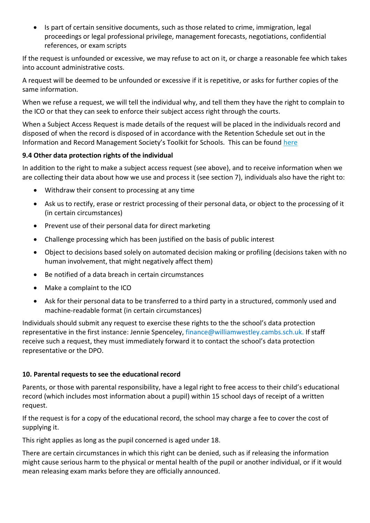• Is part of certain sensitive documents, such as those related to crime, immigration, legal proceedings or legal professional privilege, management forecasts, negotiations, confidential references, or exam scripts

If the request is unfounded or excessive, we may refuse to act on it, or charge a reasonable fee which takes into account administrative costs.

A request will be deemed to be unfounded or excessive if it is repetitive, or asks for further copies of the same information.

When we refuse a request, we will tell the individual why, and tell them they have the right to complain to the ICO or that they can seek to enforce their subject access right through the courts.

When a Subject Access Request is made details of the request will be placed in the individuals record and disposed of when the record is disposed of in accordance with the Retention Schedule set out in the Information and Record Management Society's Toolkit for Schools. This can be found [here](http://irms.org.uk/?page=schoolstoolkit&terms=%22toolkit+and+schools%22)

# **9.4 Other data protection rights of the individual**

In addition to the right to make a subject access request (see above), and to receive information when we are collecting their data about how we use and process it (see section 7), individuals also have the right to:

- Withdraw their consent to processing at any time
- Ask us to rectify, erase or restrict processing of their personal data, or object to the processing of it (in certain circumstances)
- Prevent use of their personal data for direct marketing
- Challenge processing which has been justified on the basis of public interest
- Object to decisions based solely on automated decision making or profiling (decisions taken with no human involvement, that might negatively affect them)
- Be notified of a data breach in certain circumstances
- Make a complaint to the ICO
- Ask for their personal data to be transferred to a third party in a structured, commonly used and machine-readable format (in certain circumstances)

Individuals should submit any request to exercise these rights to the the school's data protection representative in the first instance: Jennie Spenceley, finance@williamwestley.cambs.sch.uk. If staff receive such a request, they must immediately forward it to contact the school's data protection representative or the DPO.

# **10. Parental requests to see the educational record**

Parents, or those with parental responsibility, have a legal right to free access to their child's educational record (which includes most information about a pupil) within 15 school days of receipt of a written request.

If the request is for a copy of the educational record, the school may charge a fee to cover the cost of supplying it.

This right applies as long as the pupil concerned is aged under 18.

There are certain circumstances in which this right can be denied, such as if releasing the information might cause serious harm to the physical or mental health of the pupil or another individual, or if it would mean releasing exam marks before they are officially announced.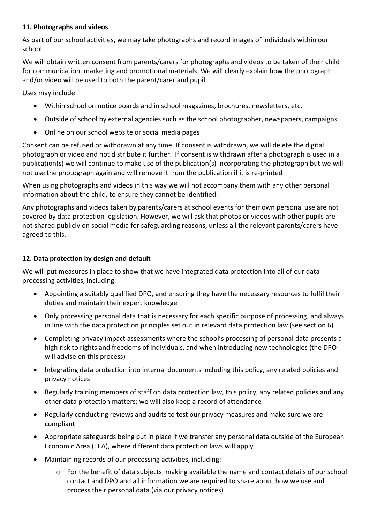# **11. Photographs and videos**

As part of our school activities, we may take photographs and record images of individuals within our school.

We will obtain written consent from parents/carers for photographs and videos to be taken of their child for communication, marketing and promotional materials. We will clearly explain how the photograph and/or video will be used to both the parent/carer and pupil.

Uses may include:

- Within school on notice boards and in school magazines, brochures, newsletters, etc.
- Outside of school by external agencies such as the school photographer, newspapers, campaigns
- Online on our school website or social media pages

Consent can be refused or withdrawn at any time. If consent is withdrawn, we will delete the digital photograph or video and not distribute it further. If consent is withdrawn after a photograph is used in a publication(s) we will continue to make use of the publication(s) incorporating the photograph but we will not use the photograph again and will remove it from the publication if it is re-printed

When using photographs and videos in this way we will not accompany them with any other personal information about the child, to ensure they cannot be identified.

Any photographs and videos taken by parents/carers at school events for their own personal use are not covered by data protection legislation. However, we will ask that photos or videos with other pupils are not shared publicly on social media for safeguarding reasons, unless all the relevant parents/carers have agreed to this.

# **12. Data protection by design and default**

We will put measures in place to show that we have integrated data protection into all of our data processing activities, including:

- Appointing a suitably qualified DPO, and ensuring they have the necessary resources to fulfil their duties and maintain their expert knowledge
- Only processing personal data that is necessary for each specific purpose of processing, and always in line with the data protection principles set out in relevant data protection law (see section 6)
- Completing privacy impact assessments where the school's processing of personal data presents a high risk to rights and freedoms of individuals, and when introducing new technologies (the DPO will advise on this process)
- Integrating data protection into internal documents including this policy, any related policies and privacy notices
- Regularly training members of staff on data protection law, this policy, any related policies and any other data protection matters; we will also keep a record of attendance
- Regularly conducting reviews and audits to test our privacy measures and make sure we are compliant
- Appropriate safeguards being put in place if we transfer any personal data outside of the European Economic Area (EEA), where different data protection laws will apply
- Maintaining records of our processing activities, including:
	- $\circ$  For the benefit of data subjects, making available the name and contact details of our school contact and DPO and all information we are required to share about how we use and process their personal data (via our privacy notices)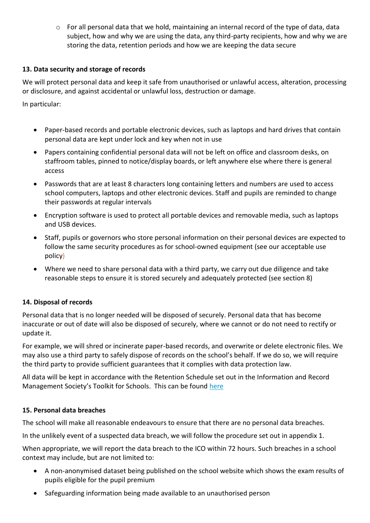o For all personal data that we hold, maintaining an internal record of the type of data, data subject, how and why we are using the data, any third-party recipients, how and why we are storing the data, retention periods and how we are keeping the data secure

# **13. Data security and storage of records**

We will protect personal data and keep it safe from unauthorised or unlawful access, alteration, processing or disclosure, and against accidental or unlawful loss, destruction or damage.

In particular:

- Paper-based records and portable electronic devices, such as laptops and hard drives that contain personal data are kept under lock and key when not in use
- Papers containing confidential personal data will not be left on office and classroom desks, on staffroom tables, pinned to notice/display boards, or left anywhere else where there is general access
- Passwords that are at least 8 characters long containing letters and numbers are used to access school computers, laptops and other electronic devices. Staff and pupils are reminded to change their passwords at regular intervals
- Encryption software is used to protect all portable devices and removable media, such as laptops and USB devices.
- Staff, pupils or governors who store personal information on their personal devices are expected to follow the same security procedures as for school-owned equipment (see our acceptable use policy)
- Where we need to share personal data with a third party, we carry out due diligence and take reasonable steps to ensure it is stored securely and adequately protected (see section 8)

# **14. Disposal of records**

Personal data that is no longer needed will be disposed of securely. Personal data that has become inaccurate or out of date will also be disposed of securely, where we cannot or do not need to rectify or update it.

For example, we will shred or incinerate paper-based records, and overwrite or delete electronic files. We may also use a third party to safely dispose of records on the school's behalf. If we do so, we will require the third party to provide sufficient guarantees that it complies with data protection law.

All data will be kept in accordance with the Retention Schedule set out in the Information and Record Management Society's Toolkit for Schools. This can be found [here](http://irms.org.uk/?page=schoolstoolkit&terms=%22toolkit+and+schools%22)

# **15. Personal data breaches**

The school will make all reasonable endeavours to ensure that there are no personal data breaches.

In the unlikely event of a suspected data breach, we will follow the procedure set out in appendix 1.

When appropriate, we will report the data breach to the ICO within 72 hours. Such breaches in a school context may include, but are not limited to:

- A non-anonymised dataset being published on the school website which shows the exam results of pupils eligible for the pupil premium
- Safeguarding information being made available to an unauthorised person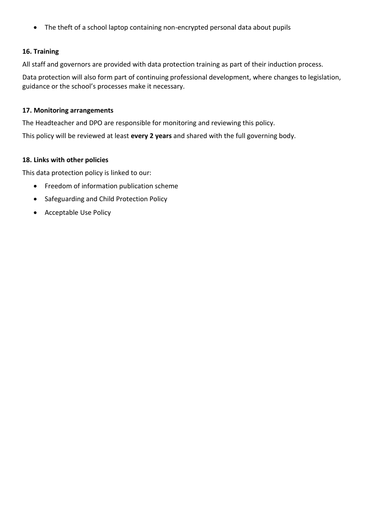The theft of a school laptop containing non-encrypted personal data about pupils

# **16. Training**

All staff and governors are provided with data protection training as part of their induction process.

Data protection will also form part of continuing professional development, where changes to legislation, guidance or the school's processes make it necessary.

#### **17. Monitoring arrangements**

The Headteacher and DPO are responsible for monitoring and reviewing this policy.

This policy will be reviewed at least **every 2 years** and shared with the full governing body.

## **18. Links with other policies**

This data protection policy is linked to our:

- **•** Freedom of information publication scheme
- Safeguarding and Child Protection Policy
- Acceptable Use Policy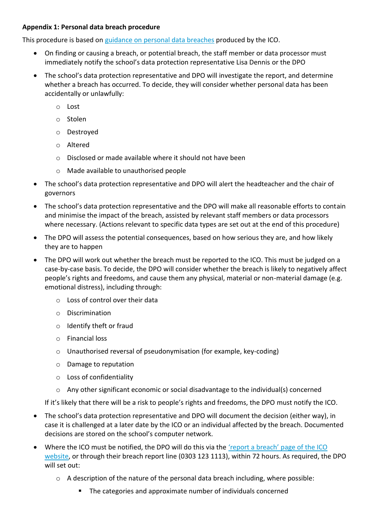# **Appendix 1: Personal data breach procedure**

This procedure is based on [guidance on personal data breaches](https://ico.org.uk/for-organisations/guide-to-the-general-data-protection-regulation-gdpr/personal-data-breaches/) produced by the ICO.

- On finding or causing a breach, or potential breach, the staff member or data processor must immediately notify the school's data protection representative Lisa Dennis or the DPO
- The school's data protection representative and DPO will investigate the report, and determine whether a breach has occurred. To decide, they will consider whether personal data has been accidentally or unlawfully:
	- o Lost
	- o Stolen
	- o Destroyed
	- o Altered
	- o Disclosed or made available where it should not have been
	- o Made available to unauthorised people
- The school's data protection representative and DPO will alert the headteacher and the chair of governors
- The school's data protection representative and the DPO will make all reasonable efforts to contain and minimise the impact of the breach, assisted by relevant staff members or data processors where necessary. (Actions relevant to specific data types are set out at the end of this procedure)
- The DPO will assess the potential consequences, based on how serious they are, and how likely they are to happen
- The DPO will work out whether the breach must be reported to the ICO. This must be judged on a case-by-case basis. To decide, the DPO will consider whether the breach is likely to negatively affect people's rights and freedoms, and cause them any physical, material or non-material damage (e.g. emotional distress), including through:
	- o Loss of control over their data
	- o Discrimination
	- o Identify theft or fraud
	- o Financial loss
	- o Unauthorised reversal of pseudonymisation (for example, key-coding)
	- o Damage to reputation
	- o Loss of confidentiality
	- $\circ$  Any other significant economic or social disadvantage to the individual(s) concerned

If it's likely that there will be a risk to people's rights and freedoms, the DPO must notify the ICO.

- The school's data protection representative and DPO will document the decision (either way), in case it is challenged at a later date by the ICO or an individual affected by the breach. Documented decisions are stored on the school's computer network.
- Where the ICO must be notified, the DPO will do this via the ['report a breach' page of the ICO](https://ico.org.uk/for-organisations/report-a-breach/)  [website,](https://ico.org.uk/for-organisations/report-a-breach/) or through their breach report line (0303 123 1113), within 72 hours. As required, the DPO will set out:
	- o A description of the nature of the personal data breach including, where possible:
		- The categories and approximate number of individuals concerned